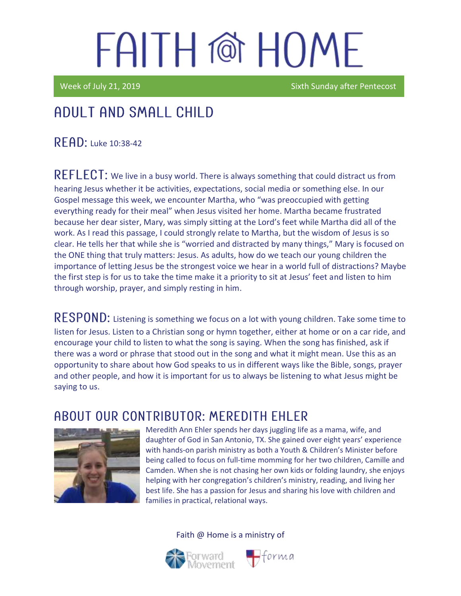Week of July 21, 2019 Sixth Sunday after Pentecost

### Adult and Small Child

READ: Luke 10:38-42

REFLECT: We live in a busy world. There is always something that could distract us from hearing Jesus whether it be activities, expectations, social media or something else. In our Gospel message this week, we encounter Martha, who "was preoccupied with getting everything ready for their meal" when Jesus visited her home. Martha became frustrated because her dear sister, Mary, was simply sitting at the Lord's feet while Martha did all of the work. As I read this passage, I could strongly relate to Martha, but the wisdom of Jesus is so clear. He tells her that while she is "worried and distracted by many things," Mary is focused on the ONE thing that truly matters: Jesus. As adults, how do we teach our young children the importance of letting Jesus be the strongest voice we hear in a world full of distractions? Maybe the first step is for us to take the time make it a priority to sit at Jesus' feet and listen to him through worship, prayer, and simply resting in him.

RESPOND: Listening is something we focus on a lot with young children. Take some time to listen for Jesus. Listen to a Christian song or hymn together, either at home or on a car ride, and encourage your child to listen to what the song is saying. When the song has finished, ask if there was a word or phrase that stood out in the song and what it might mean. Use this as an opportunity to share about how God speaks to us in different ways like the Bible, songs, prayer and other people, and how it is important for us to always be listening to what Jesus might be saying to us.

#### ABOUT OUR CONTRIBUTOR: MEREDITH EHLER



Meredith Ann Ehler spends her days juggling life as a mama, wife, and daughter of God in San Antonio, TX. She gained over eight years' experience with hands-on parish ministry as both a Youth & Children's Minister before being called to focus on full-time momming for her two children, Camille and Camden. When she is not chasing her own kids or folding laundry, she enjoys helping with her congregation's children's ministry, reading, and living her best life. She has a passion for Jesus and sharing his love with children and families in practical, relational ways.





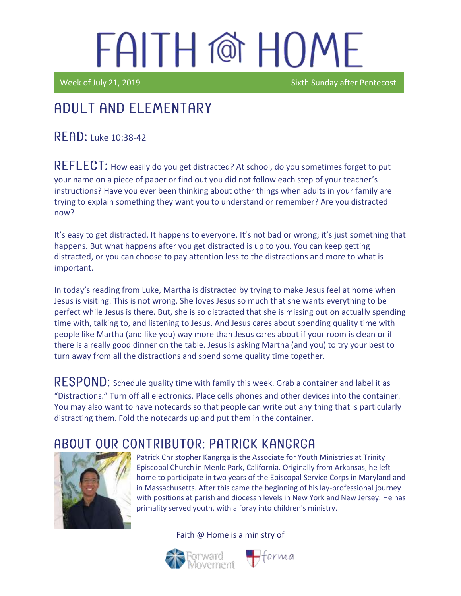Week of July 21, 2019 Sixth Sunday after Pentecost

### Adult and elementary

 $R$   $F$   $AD$ : Luke 10:38-42

REFLECT: How easily do you get distracted? At school, do you sometimes forget to put your name on a piece of paper or find out you did not follow each step of your teacher's instructions? Have you ever been thinking about other things when adults in your family are trying to explain something they want you to understand or remember? Are you distracted now?

It's easy to get distracted. It happens to everyone. It's not bad or wrong; it's just something that happens. But what happens after you get distracted is up to you. You can keep getting distracted, or you can choose to pay attention less to the distractions and more to what is important.

In today's reading from Luke, Martha is distracted by trying to make Jesus feel at home when Jesus is visiting. This is not wrong. She loves Jesus so much that she wants everything to be perfect while Jesus is there. But, she is so distracted that she is missing out on actually spending time with, talking to, and listening to Jesus. And Jesus cares about spending quality time with people like Martha (and like you) way more than Jesus cares about if your room is clean or if there is a really good dinner on the table. Jesus is asking Martha (and you) to try your best to turn away from all the distractions and spend some quality time together.

RESPOND: Schedule quality time with family this week. Grab a container and label it as "Distractions." Turn off all electronics. Place cells phones and other devices into the container. You may also want to have notecards so that people can write out any thing that is particularly distracting them. Fold the notecards up and put them in the container.

#### ABOUT OUR CONTRIBUTOR: PATRICK KANGRGA



Patrick Christopher Kangrga is the Associate for Youth Ministries at Trinity Episcopal Church in Menlo Park, California. Originally from Arkansas, he left home to participate in two years of the Episcopal Service Corps in Maryland and in Massachusetts. After this came the beginning of his lay-professional journey with positions at parish and diocesan levels in New York and New Jersey. He has primality served youth, with a foray into children's ministry.

Faith @ Home is a ministry of



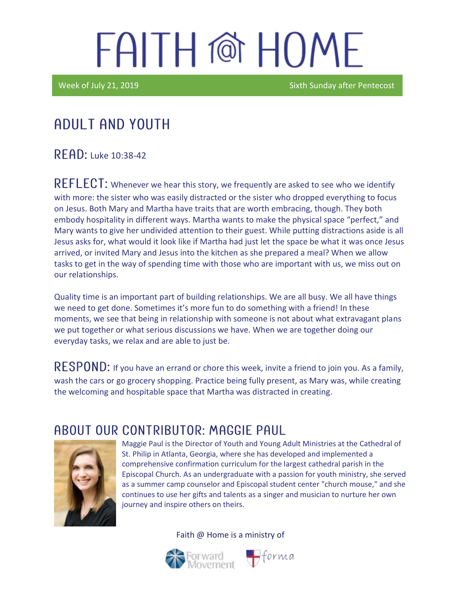Week of July 21, 2019 Sixth Sunday after Pentecost

## Adult and youth

 $R$  FAD: Luke 10:38-42

 $REFLECT$ : Whenever we hear this story, we frequently are asked to see who we identify with more: the sister who was easily distracted or the sister who dropped everything to focus on Jesus. Both Mary and Martha have traits that are worth embracing, though. They both embody hospitality in different ways. Martha wants to make the physical space "perfect," and Mary wants to give her undivided attention to their guest. While putting distractions aside is all Jesus asks for, what would it look like if Martha had just let the space be what it was once Jesus arrived, or invited Mary and Jesus into the kitchen as she prepared a meal? When we allow tasks to get in the way of spending time with those who are important with us, we miss out on our relationships.

Quality time is an important part of building relationships. We are all busy. We all have things we need to get done. Sometimes it's more fun to do something with a friend! In these moments, we see that being in relationship with someone is not about what extravagant plans we put together or what serious discussions we have. When we are together doing our everyday tasks, we relax and are able to just be.

RESPOND: If you have an errand or chore this week, invite a friend to join you. As a family, wash the cars or go grocery shopping. Practice being fully present, as Mary was, while creating the welcoming and hospitable space that Martha was distracted in creating.

#### A BOUT OUR CONTRIBUTOR: MAGGIE PAUL



Maggie Paul is the Director of Youth and Young Adult Ministries at the Cathedral of St. Philip in Atlanta, Georgia, where she has developed and implemented a comprehensive confirmation curriculum for the largest cathedral parish in the Episcopal Church. As an undergraduate with a passion for youth ministry, she served as a summer camp counselor and Episcopal student center "church mouse," and she continues to use her gifts and talents as a singer and musician to nurture her own journey and inspire others on theirs.

Faith @ Home is a ministry of